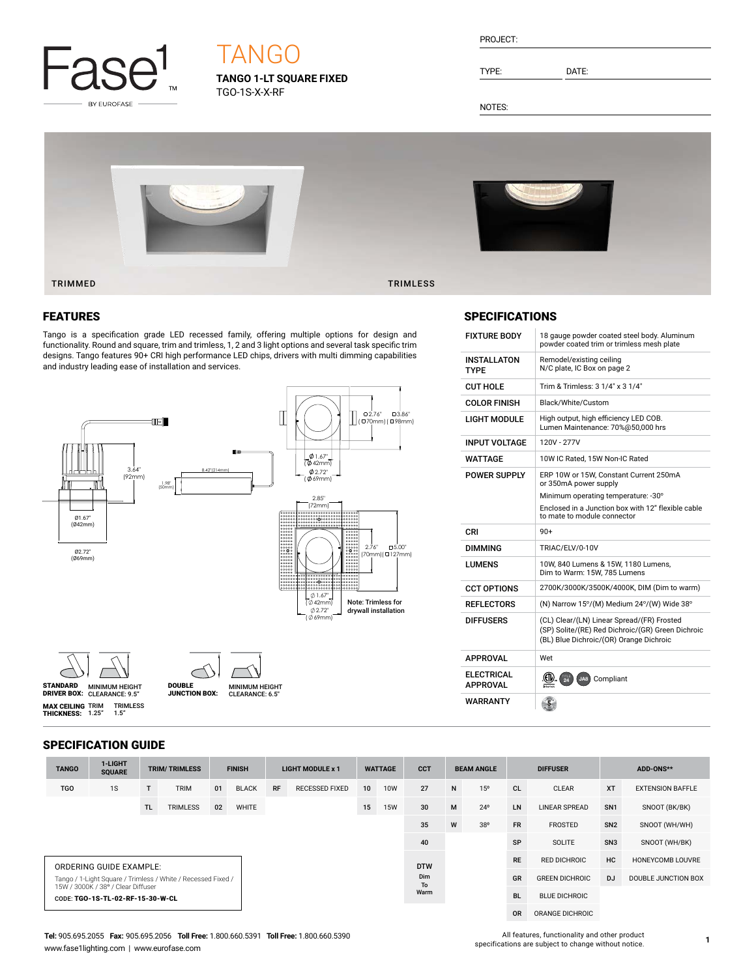

# **TANG**

**TANGO 1-LT SQUARE FIXED** TGO-1S-X-X-RF

| PROJECT: |  |
|----------|--|
|          |  |

TYPE: DATE:

FIXTURE BODY 18 gauge powder coated steel body. Aluminum

Remodel/existing ceiling N/C plate, IC Box on page 2

 $CUT HOLE$  Trim & Trimless:  $3 \frac{1}{4}$ " x  $3 \frac{1}{4}$ " COLOR FINISH | Black/White/Custom

INPUT VOLTAGE | 120V - 277V

CRI 90+

APPROVAL Wet

**ELECTRICAL**<br>APPROVAL

WARRANTY

DIMMING TRIAC/ELV/0-10V

 $APPROVAL$   $\frac{\langle \langle \mathbf{L} \rangle_{\alpha}}{\langle \mathbf{R} \rangle_{\alpha}} \rangle_{\alpha}^{T24}$  JA8 Compliant

 $\left( \frac{5}{2} \right)$ 

LIGHT MODULE High output, high efficiency LED COB. Lumen Maintenance: 70%@50,000 hrs

WATTAGE 10W IC Rated, 15W Non-IC Rated POWER SUPPLY ERP 10W or 15W, Constant Current 250mA or 350mA power supply

powder coated trim or trimless mesh plate

Minimum operating temperature: -30° Enclosed in a Junction box with 12" flexible cable

to mate to module connector

Dim to Warm: 15W, 785 Lumens CCT OPTIONS 2700K/3000K/3500K/4000K, DIM (Dim to warm) REFLECTORS (N) Narrow 15°/(M) Medium 24°/(W) Wide 38° DIFFUSERS (CL) Clear/(LN) Linear Spread/(FR) Frosted

(SP) Solite/(RE) Red Dichroic/(GR) Green Dichroic (BL) Blue Dichroic/(OR) Orange Dichroic

LUMENS 10W, 840 Lumens & 15W, 1180 Lumens,

NOTES:

INSTALLATON TYPE

SPECIFICATIONS



#### FEATURES

Tango is a specification grade LED recessed family, offering multiple options for design and functionality. Round and square, trim and trimless, 1, 2 and 3 light options and several task specific trim designs. Tango features 90+ CRI high performance LED chips, drivers with multi dimming capabilities and industry leading ease of installation and services.







MINIMUM HEIGHT CLEARANCE: 9.5" STANDARD DRIVER BOX: MINIMUM HEIGHT **MAX CEILING** TRIM<br>**THICKNESS:** 1.25" TRIMLESS 1.5"

MINIMUM HEIGHT<br>CLEARANCE: 6.5" JUNCTION BOX:

### SPECIFICATION GUIDE

| <b>TANGO</b>                                                                                       | 1-LIGHT<br><b>SQUARE</b>         | <b>TRIM/TRIMLESS</b> |                 | <b>FINISH</b> |              | <b>LIGHT MODULE x 1</b> |                       | <b>WATTAGE</b> |            | <b>CCT</b>       | <b>BEAM ANGLE</b> |                 | <b>DIFFUSER</b> |                       | ADD-ONS**       |                         |
|----------------------------------------------------------------------------------------------------|----------------------------------|----------------------|-----------------|---------------|--------------|-------------------------|-----------------------|----------------|------------|------------------|-------------------|-----------------|-----------------|-----------------------|-----------------|-------------------------|
| <b>TGO</b>                                                                                         | 1S                               | т                    | <b>TRIM</b>     | 01            | <b>BLACK</b> | <b>RF</b>               | <b>RECESSED FIXED</b> | 10             | <b>10W</b> | 27               | N                 | 15 <sup>o</sup> | <b>CL</b>       | <b>CLEAR</b>          | <b>XT</b>       | <b>EXTENSION BAFFLE</b> |
|                                                                                                    |                                  | TL.                  | <b>TRIMLESS</b> | 02            | <b>WHITE</b> |                         |                       | 15             | <b>15W</b> | 30               | M                 | $24^{\circ}$    | LN              | <b>LINEAR SPREAD</b>  | SN <sub>1</sub> | SNOOT (BK/BK)           |
| W<br>35                                                                                            |                                  |                      |                 |               |              |                         |                       |                | 38°        | <b>FR</b>        | <b>FROSTED</b>    | SN <sub>2</sub> | SNOOT (WH/WH)   |                       |                 |                         |
|                                                                                                    |                                  |                      |                 |               |              |                         |                       |                |            | 40               |                   |                 | SP              | SOLITE                | SN <sub>3</sub> | SNOOT (WH/BK)           |
| ORDERING GUIDE EXAMPLE:                                                                            |                                  |                      |                 |               |              |                         |                       |                |            | <b>DTW</b>       |                   |                 | <b>RE</b>       | RED DICHROIC          | HC              | HONEYCOMB LOUVRE        |
| Tango / 1-Light Square / Trimless / White / Recessed Fixed /<br>15W / 3000K / 38° / Clear Diffuser |                                  |                      |                 |               |              |                         |                       |                |            | Dim<br><b>To</b> |                   |                 | GR              | <b>GREEN DICHROIC</b> | <b>DJ</b>       | DOUBLE JUNCTION BOX     |
|                                                                                                    | CODE: TGO-1S-TL-02-RF-15-30-W-CL |                      |                 |               |              |                         |                       | Warm           |            |                  |                   |                 | <b>BL</b>       | <b>BLUE DICHROIC</b>  |                 |                         |

OR ORANGE DICHROIC

#### **Tel:** 905.695.2055 **Fax:** 905.695.2056 **Toll Free:** 1.800.660.5391 **Toll Free:** 1.800.660.5390 www.fase1lighting.com | www.eurofase.com

All features, functionality and other product specifications are subject to change without notice.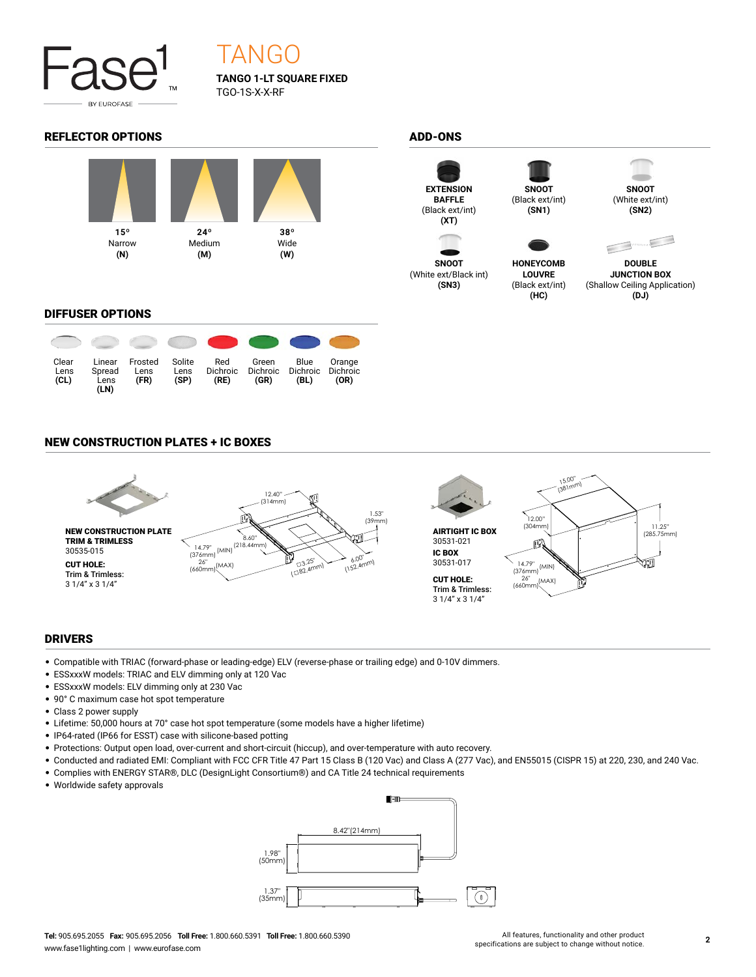

## TANGO

**TANGO 1-LT SQUARE FIXED** TGO-1S-X-X-RF

#### REFLECTOR OPTIONS ADD-ONS



#### DIFFUSER OPTIONS





**SNOOT** (White ext/Black int) **(SN3)**



(Black ext/int) **(SN1)**



**(SN2)**



**HONEYCOMB LOUVRE** (Black ext/int) **(HC)**

**DOUBLE JUNCTION BOX** (Shallow Ceiling Application) **(DJ)**

#### NEW CONSTRUCTION PLATES + IC BOXES



#### DRIVERS

- Compatible with TRIAC (forward-phase or leading-edge) ELV (reverse-phase or trailing edge) and 0-10V dimmers.
- ESSxxxW models: TRIAC and ELV dimming only at 120 Vac
- ESSxxxW models: ELV dimming only at 230 Vac
- 90° C maximum case hot spot temperature
- Class 2 power supply
- Lifetime: 50,000 hours at 70° case hot spot temperature (some models have a higher lifetime)
- IP64-rated (IP66 for ESST) case with silicone-based potting
- Protections: Output open load, over-current and short-circuit (hiccup), and over-temperature with auto recovery.
- Conducted and radiated EMI: Compliant with FCC CFR Title 47 Part 15 Class B (120 Vac) and Class A (277 Vac), and EN55015 (CISPR 15) at 220, 230, and 240 Vac.
- Complies with ENERGY STAR®, DLC (DesignLight Consortium®) and CA Title 24 technical requirements
- Worldwide safety approvals